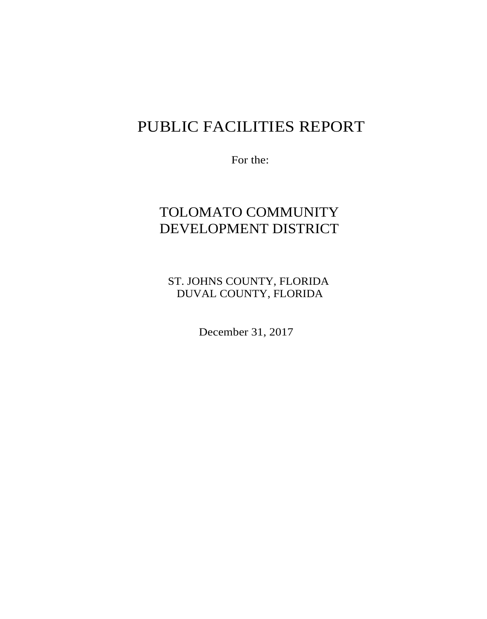# PUBLIC FACILITIES REPORT

For the:

# TOLOMATO COMMUNITY DEVELOPMENT DISTRICT

ST. JOHNS COUNTY, FLORIDA DUVAL COUNTY, FLORIDA

December 31, 2017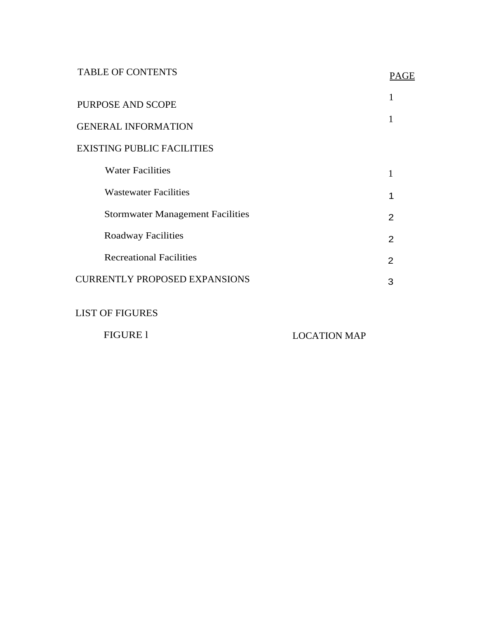|--|--|--|--|

| PURPOSE AND SCOPE                       |   |
|-----------------------------------------|---|
| <b>GENERAL INFORMATION</b>              |   |
| <b>EXISTING PUBLIC FACILITIES</b>       |   |
| <b>Water Facilities</b>                 |   |
| <b>Wastewater Facilities</b>            | 1 |
| <b>Stormwater Management Facilities</b> |   |
| <b>Roadway Facilities</b>               | 2 |
| <b>Recreational Facilities</b>          | 2 |
| <b>CURRENTLY PROPOSED EXPANSIONS</b>    |   |

# LIST OF FIGURES

FIGURE 1 LOCATION MAP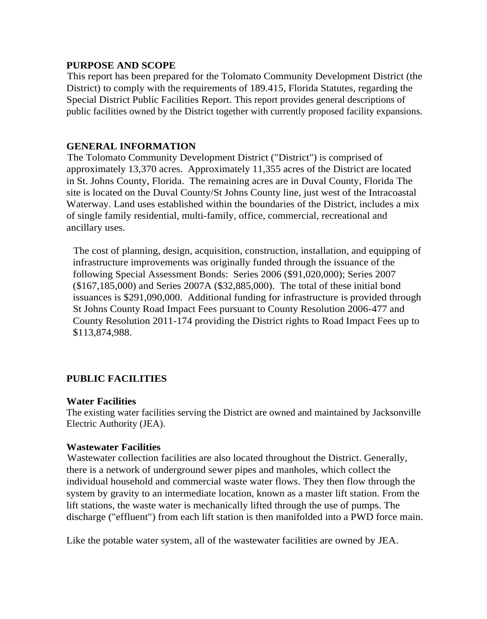#### **PURPOSE AND SCOPE**

This report has been prepared for the Tolomato Community Development District (the District) to comply with the requirements of 189.415, Florida Statutes, regarding the Special District Public Facilities Report. This report provides general descriptions of public facilities owned by the District together with currently proposed facility expansions.

#### **GENERAL INFORMATION**

The Tolomato Community Development District ("District") is comprised of approximately 13,370 acres. Approximately 11,355 acres of the District are located in St. Johns County, Florida. The remaining acres are in Duval County, Florida The site is located on the Duval County/St Johns County line, just west of the Intracoastal Waterway. Land uses established within the boundaries of the District, includes a mix of single family residential, multi-family, office, commercial, recreational and ancillary uses.

The cost of planning, design, acquisition, construction, installation, and equipping of infrastructure improvements was originally funded through the issuance of the following Special Assessment Bonds: Series 2006 (\$91,020,000); Series 2007 (\$167,185,000) and Series 2007A (\$32,885,000). The total of these initial bond issuances is \$291,090,000. Additional funding for infrastructure is provided through St Johns County Road Impact Fees pursuant to County Resolution 2006-477 and County Resolution 2011-174 providing the District rights to Road Impact Fees up to \$113,874,988.

## **PUBLIC FACILITIES**

#### **Water Facilities**

The existing water facilities serving the District are owned and maintained by Jacksonville Electric Authority (JEA).

#### **Wastewater Facilities**

Wastewater collection facilities are also located throughout the District. Generally, there is a network of underground sewer pipes and manholes, which collect the individual household and commercial waste water flows. They then flow through the system by gravity to an intermediate location, known as a master lift station. From the lift stations, the waste water is mechanically lifted through the use of pumps. The discharge ("effluent") from each lift station is then manifolded into a PWD force main.

Like the potable water system, all of the wastewater facilities are owned by JEA.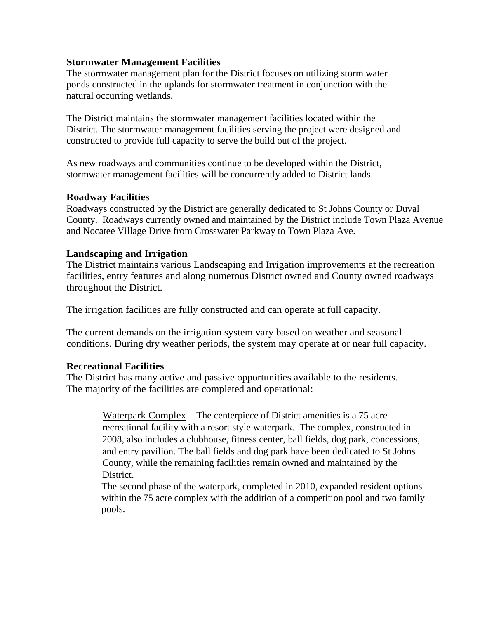#### **Stormwater Management Facilities**

The stormwater management plan for the District focuses on utilizing storm water ponds constructed in the uplands for stormwater treatment in conjunction with the natural occurring wetlands.

The District maintains the stormwater management facilities located within the District. The stormwater management facilities serving the project were designed and constructed to provide full capacity to serve the build out of the project.

As new roadways and communities continue to be developed within the District, stormwater management facilities will be concurrently added to District lands.

#### **Roadway Facilities**

Roadways constructed by the District are generally dedicated to St Johns County or Duval County. Roadways currently owned and maintained by the District include Town Plaza Avenue and Nocatee Village Drive from Crosswater Parkway to Town Plaza Ave.

#### **Landscaping and Irrigation**

The District maintains various Landscaping and Irrigation improvements at the recreation facilities, entry features and along numerous District owned and County owned roadways throughout the District.

The irrigation facilities are fully constructed and can operate at full capacity.

The current demands on the irrigation system vary based on weather and seasonal conditions. During dry weather periods, the system may operate at or near full capacity.

#### **Recreational Facilities**

The District has many active and passive opportunities available to the residents. The majority of the facilities are completed and operational:

> Waterpark Complex – The centerpiece of District amenities is a 75 acre recreational facility with a resort style waterpark. The complex, constructed in 2008, also includes a clubhouse, fitness center, ball fields, dog park, concessions, and entry pavilion. The ball fields and dog park have been dedicated to St Johns County, while the remaining facilities remain owned and maintained by the District.

The second phase of the waterpark, completed in 2010, expanded resident options within the 75 acre complex with the addition of a competition pool and two family pools.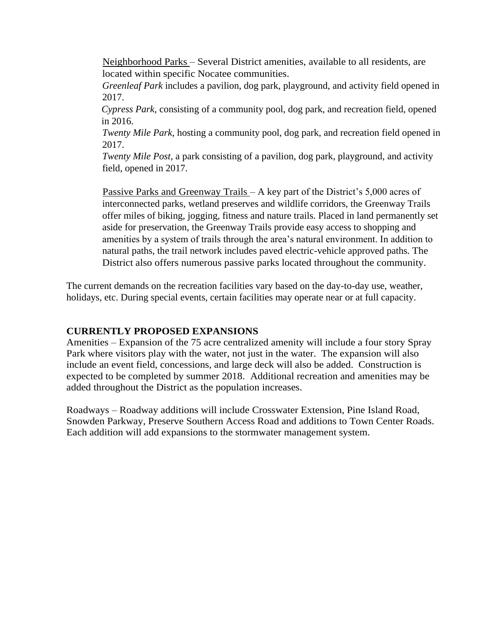Neighborhood Parks – Several District amenities, available to all residents, are located within specific Nocatee communities.

*Greenleaf Park* includes a pavilion, dog park, playground, and activity field opened in 2017.

*Cypress Park*, consisting of a community pool, dog park, and recreation field, opened in 2016.

*Twenty Mile Park*, hosting a community pool, dog park, and recreation field opened in 2017.

*Twenty Mile Post*, a park consisting of a pavilion, dog park, playground, and activity field, opened in 2017.

Passive Parks and Greenway Trails – A key part of the District's 5,000 acres of interconnected parks, wetland preserves and wildlife corridors, the Greenway Trails offer miles of biking, jogging, fitness and nature trails. Placed in land permanently set aside for preservation, the Greenway Trails provide easy access to shopping and amenities by a system of trails through the area's natural environment. In addition to natural paths, the trail network includes paved electric-vehicle approved paths. The District also offers numerous passive parks located throughout the community.

The current demands on the recreation facilities vary based on the day-to-day use, weather, holidays, etc. During special events, certain facilities may operate near or at full capacity.

## **CURRENTLY PROPOSED EXPANSIONS**

Amenities – Expansion of the 75 acre centralized amenity will include a four story Spray Park where visitors play with the water, not just in the water. The expansion will also include an event field, concessions, and large deck will also be added. Construction is expected to be completed by summer 2018. Additional recreation and amenities may be added throughout the District as the population increases.

Roadways – Roadway additions will include Crosswater Extension, Pine Island Road, Snowden Parkway, Preserve Southern Access Road and additions to Town Center Roads. Each addition will add expansions to the stormwater management system.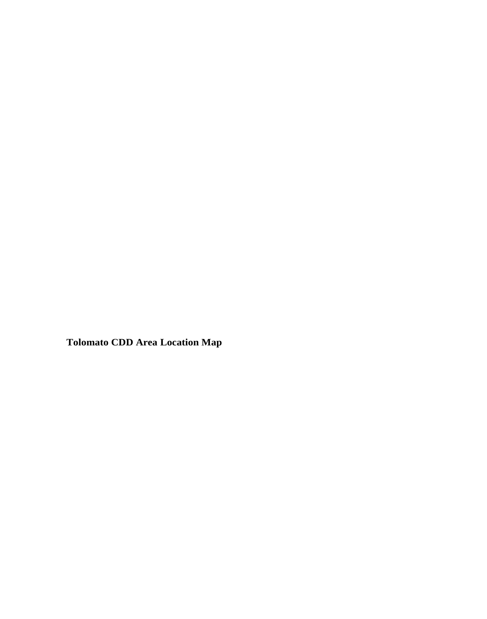**Tolomato CDD Area Location Map**